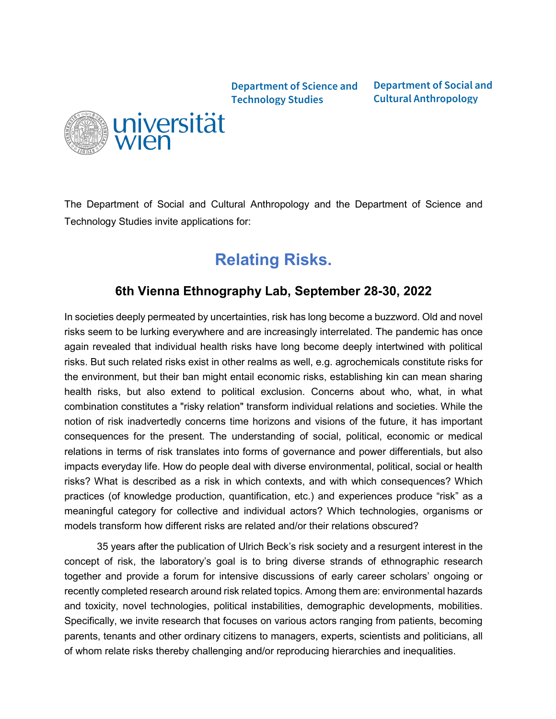**Department of Science and Technology Studies**

**Department of Social and Cultural Anthropology**



The Department of Social and Cultural Anthropology and the Department of Science and Technology Studies invite applications for:

# **Relating Risks.**

## **6th Vienna Ethnography Lab, September 28-30, 2022**

In societies deeply permeated by uncertainties, risk has long become a buzzword. Old and novel risks seem to be lurking everywhere and are increasingly interrelated. The pandemic has once again revealed that individual health risks have long become deeply intertwined with political risks. But such related risks exist in other realms as well, e.g. agrochemicals constitute risks for the environment, but their ban might entail economic risks, establishing kin can mean sharing health risks, but also extend to political exclusion. Concerns about who, what, in what combination constitutes a "risky relation" transform individual relations and societies. While the notion of risk inadvertedly concerns time horizons and visions of the future, it has important consequences for the present. The understanding of social, political, economic or medical relations in terms of risk translates into forms of governance and power differentials, but also impacts everyday life. How do people deal with diverse environmental, political, social or health risks? What is described as a risk in which contexts, and with which consequences? Which practices (of knowledge production, quantification, etc.) and experiences produce "risk" as a meaningful category for collective and individual actors? Which technologies, organisms or models transform how different risks are related and/or their relations obscured?

35 years after the publication of Ulrich Beck's risk society and a resurgent interest in the concept of risk, the laboratory's goal is to bring diverse strands of ethnographic research together and provide a forum for intensive discussions of early career scholars' ongoing or recently completed research around risk related topics. Among them are: environmental hazards and toxicity, novel technologies, political instabilities, demographic developments, mobilities. Specifically, we invite research that focuses on various actors ranging from patients, becoming parents, tenants and other ordinary citizens to managers, experts, scientists and politicians, all of whom relate risks thereby challenging and/or reproducing hierarchies and inequalities.